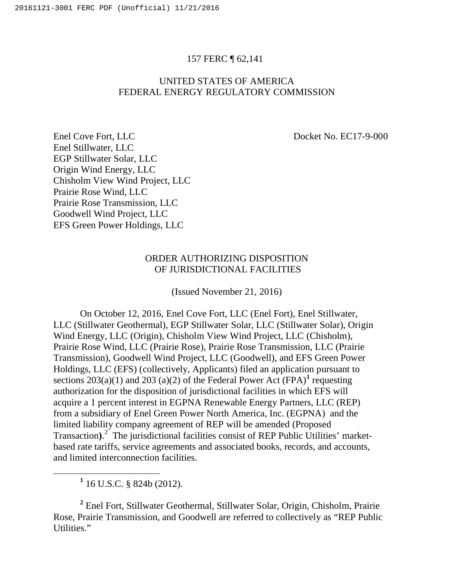## 157 FERC ¶ 62,141

## UNITED STATES OF AMERICA FEDERAL ENERGY REGULATORY COMMISSION

Enel Cove Fort, LLC Docket No. EC17-9-000 Enel Stillwater, LLC EGP Stillwater Solar, LLC Origin Wind Energy, LLC Chisholm View Wind Project, LLC Prairie Rose Wind, LLC Prairie Rose Transmission, LLC Goodwell Wind Project, LLC EFS Green Power Holdings, LLC

## ORDER AUTHORIZING DISPOSITION OF JURISDICTIONAL FACILITIES

(Issued November 21, 2016)

On October 12, 2016, Enel Cove Fort, LLC (Enel Fort), Enel Stillwater, LLC (Stillwater Geothermal), EGP Stillwater Solar, LLC (Stillwater Solar), Origin Wind Energy, LLC (Origin), Chisholm View Wind Project, LLC (Chisholm), Prairie Rose Wind, LLC (Prairie Rose), Prairie Rose Transmission, LLC (Prairie Transmission), Goodwell Wind Project, LLC (Goodwell), and EFS Green Power Holdings, LLC (EFS) (collectively, Applicants) filed an application pursuant to sections  $203(a)(1)$  and  $203(a)(2)$  of the Federal Power Act (FPA)<sup>1</sup> requesting authorization for the disposition of jurisdictional facilities in which EFS will acquire a 1 percent interest in EGPNA Renewable Energy Partners, LLC (REP) from a subsidiary of Enel Green Power North America, Inc. (EGPNA) and the limited liability company agreement of REP will be amended (Proposed Transaction).<sup>2</sup> The jurisdictional facilities consist of REP Public Utilities' marketbased rate tariffs, service agreements and associated books, records, and accounts, and limited interconnection facilities.

**<sup>1</sup>** 16 U.S.C. § 824b (2012).

**<sup>2</sup>** Enel Fort, Stillwater Geothermal, Stillwater Solar, Origin, Chisholm, Prairie Rose, Prairie Transmission, and Goodwell are referred to collectively as "REP Public Utilities."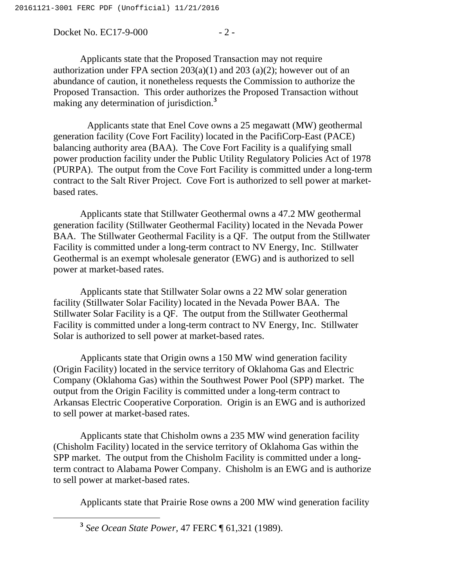Docket No. EC17-9-000 - 2 -

Applicants state that the Proposed Transaction may not require authorization under FPA section  $203(a)(1)$  and  $203(a)(2)$ ; however out of an abundance of caution, it nonetheless requests the Commission to authorize the Proposed Transaction. This order authorizes the Proposed Transaction without making any determination of jurisdiction.**<sup>3</sup>**

 Applicants state that Enel Cove owns a 25 megawatt (MW) geothermal generation facility (Cove Fort Facility) located in the PacifiCorp-East (PACE) balancing authority area (BAA). The Cove Fort Facility is a qualifying small power production facility under the Public Utility Regulatory Policies Act of 1978 (PURPA). The output from the Cove Fort Facility is committed under a long-term contract to the Salt River Project. Cove Fort is authorized to sell power at marketbased rates.

Applicants state that Stillwater Geothermal owns a 47.2 MW geothermal generation facility (Stillwater Geothermal Facility) located in the Nevada Power BAA. The Stillwater Geothermal Facility is a QF. The output from the Stillwater Facility is committed under a long-term contract to NV Energy, Inc. Stillwater Geothermal is an exempt wholesale generator (EWG) and is authorized to sell power at market-based rates.

Applicants state that Stillwater Solar owns a 22 MW solar generation facility (Stillwater Solar Facility) located in the Nevada Power BAA. The Stillwater Solar Facility is a QF. The output from the Stillwater Geothermal Facility is committed under a long-term contract to NV Energy, Inc. Stillwater Solar is authorized to sell power at market-based rates.

Applicants state that Origin owns a 150 MW wind generation facility (Origin Facility) located in the service territory of Oklahoma Gas and Electric Company (Oklahoma Gas) within the Southwest Power Pool (SPP) market. The output from the Origin Facility is committed under a long-term contract to Arkansas Electric Cooperative Corporation. Origin is an EWG and is authorized to sell power at market-based rates.

Applicants state that Chisholm owns a 235 MW wind generation facility (Chisholm Facility) located in the service territory of Oklahoma Gas within the SPP market. The output from the Chisholm Facility is committed under a longterm contract to Alabama Power Company. Chisholm is an EWG and is authorize to sell power at market-based rates.

Applicants state that Prairie Rose owns a 200 MW wind generation facility

**<sup>3</sup>** *See Ocean State Power,* 47 FERC ¶ 61,321 (1989).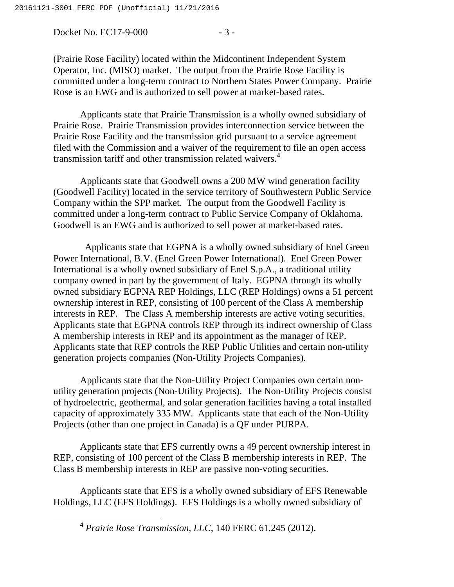Docket No. EC17-9-000 - 3 -

(Prairie Rose Facility) located within the Midcontinent Independent System Operator, Inc. (MISO) market. The output from the Prairie Rose Facility is committed under a long-term contract to Northern States Power Company. Prairie Rose is an EWG and is authorized to sell power at market-based rates.

Applicants state that Prairie Transmission is a wholly owned subsidiary of Prairie Rose. Prairie Transmission provides interconnection service between the Prairie Rose Facility and the transmission grid pursuant to a service agreement filed with the Commission and a waiver of the requirement to file an open access transmission tariff and other transmission related waivers.**<sup>4</sup>**

Applicants state that Goodwell owns a 200 MW wind generation facility (Goodwell Facility) located in the service territory of Southwestern Public Service Company within the SPP market. The output from the Goodwell Facility is committed under a long-term contract to Public Service Company of Oklahoma. Goodwell is an EWG and is authorized to sell power at market-based rates.

 Applicants state that EGPNA is a wholly owned subsidiary of Enel Green Power International, B.V. (Enel Green Power International). Enel Green Power International is a wholly owned subsidiary of Enel S.p.A., a traditional utility company owned in part by the government of Italy. EGPNA through its wholly owned subsidiary EGPNA REP Holdings, LLC (REP Holdings) owns a 51 percent ownership interest in REP, consisting of 100 percent of the Class A membership interests in REP. The Class A membership interests are active voting securities. Applicants state that EGPNA controls REP through its indirect ownership of Class A membership interests in REP and its appointment as the manager of REP. Applicants state that REP controls the REP Public Utilities and certain non-utility generation projects companies (Non-Utility Projects Companies).

Applicants state that the Non-Utility Project Companies own certain nonutility generation projects (Non-Utility Projects). The Non-Utility Projects consist of hydroelectric, geothermal, and solar generation facilities having a total installed capacity of approximately 335 MW. Applicants state that each of the Non-Utility Projects (other than one project in Canada) is a QF under PURPA.

Applicants state that EFS currently owns a 49 percent ownership interest in REP, consisting of 100 percent of the Class B membership interests in REP. The Class B membership interests in REP are passive non-voting securities.

Applicants state that EFS is a wholly owned subsidiary of EFS Renewable Holdings, LLC (EFS Holdings). EFS Holdings is a wholly owned subsidiary of

**<sup>4</sup>** *Prairie Rose Transmission, LLC,* 140 FERC 61,245 (2012).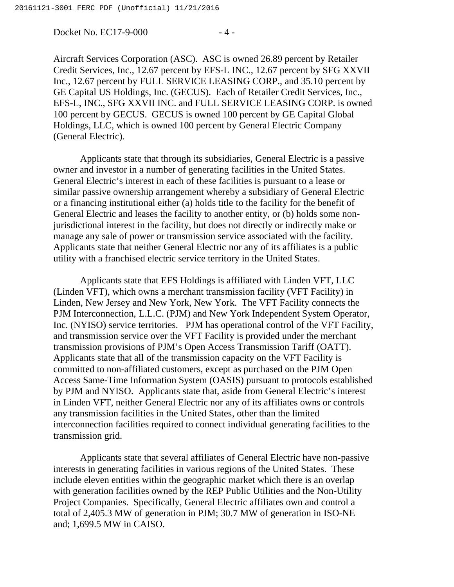Docket No. EC17-9-000 - 4 -

Aircraft Services Corporation (ASC). ASC is owned 26.89 percent by Retailer Credit Services, Inc., 12.67 percent by EFS-L INC., 12.67 percent by SFG XXVII Inc., 12.67 percent by FULL SERVICE LEASING CORP., and 35.10 percent by GE Capital US Holdings, Inc. (GECUS). Each of Retailer Credit Services, Inc., EFS-L, INC., SFG XXVII INC. and FULL SERVICE LEASING CORP. is owned 100 percent by GECUS. GECUS is owned 100 percent by GE Capital Global Holdings, LLC, which is owned 100 percent by General Electric Company (General Electric).

Applicants state that through its subsidiaries, General Electric is a passive owner and investor in a number of generating facilities in the United States. General Electric's interest in each of these facilities is pursuant to a lease or similar passive ownership arrangement whereby a subsidiary of General Electric or a financing institutional either (a) holds title to the facility for the benefit of General Electric and leases the facility to another entity, or (b) holds some nonjurisdictional interest in the facility, but does not directly or indirectly make or manage any sale of power or transmission service associated with the facility. Applicants state that neither General Electric nor any of its affiliates is a public utility with a franchised electric service territory in the United States.

Applicants state that EFS Holdings is affiliated with Linden VFT, LLC (Linden VFT), which owns a merchant transmission facility (VFT Facility) in Linden, New Jersey and New York, New York. The VFT Facility connects the PJM Interconnection, L.L.C. (PJM) and New York Independent System Operator, Inc. (NYISO) service territories. PJM has operational control of the VFT Facility, and transmission service over the VFT Facility is provided under the merchant transmission provisions of PJM's Open Access Transmission Tariff (OATT). Applicants state that all of the transmission capacity on the VFT Facility is committed to non-affiliated customers, except as purchased on the PJM Open Access Same-Time Information System (OASIS) pursuant to protocols established by PJM and NYISO. Applicants state that, aside from General Electric's interest in Linden VFT, neither General Electric nor any of its affiliates owns or controls any transmission facilities in the United States, other than the limited interconnection facilities required to connect individual generating facilities to the transmission grid.

Applicants state that several affiliates of General Electric have non-passive interests in generating facilities in various regions of the United States. These include eleven entities within the geographic market which there is an overlap with generation facilities owned by the REP Public Utilities and the Non-Utility Project Companies. Specifically, General Electric affiliates own and control a total of 2,405.3 MW of generation in PJM; 30.7 MW of generation in ISO-NE and; 1,699.5 MW in CAISO.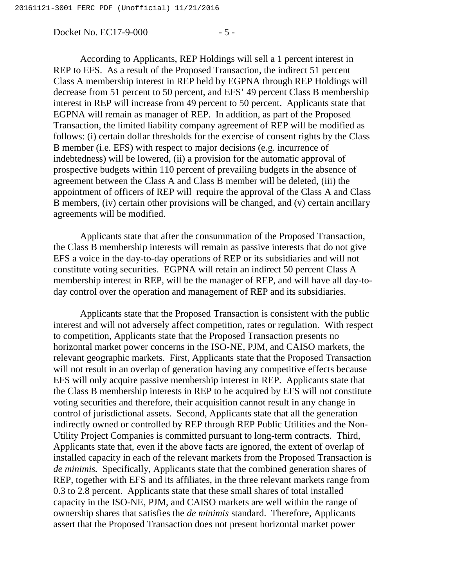Docket No. EC17-9-000 - 5 -

According to Applicants, REP Holdings will sell a 1 percent interest in REP to EFS. As a result of the Proposed Transaction, the indirect 51 percent Class A membership interest in REP held by EGPNA through REP Holdings will decrease from 51 percent to 50 percent, and EFS' 49 percent Class B membership interest in REP will increase from 49 percent to 50 percent. Applicants state that EGPNA will remain as manager of REP. In addition, as part of the Proposed Transaction, the limited liability company agreement of REP will be modified as follows: (i) certain dollar thresholds for the exercise of consent rights by the Class B member (i.e. EFS) with respect to major decisions (e.g. incurrence of indebtedness) will be lowered, (ii) a provision for the automatic approval of prospective budgets within 110 percent of prevailing budgets in the absence of agreement between the Class A and Class B member will be deleted, (iii) the appointment of officers of REP will require the approval of the Class A and Class B members, (iv) certain other provisions will be changed, and (v) certain ancillary agreements will be modified.

Applicants state that after the consummation of the Proposed Transaction, the Class B membership interests will remain as passive interests that do not give EFS a voice in the day-to-day operations of REP or its subsidiaries and will not constitute voting securities. EGPNA will retain an indirect 50 percent Class A membership interest in REP, will be the manager of REP, and will have all day-today control over the operation and management of REP and its subsidiaries.

Applicants state that the Proposed Transaction is consistent with the public interest and will not adversely affect competition, rates or regulation. With respect to competition, Applicants state that the Proposed Transaction presents no horizontal market power concerns in the ISO-NE, PJM, and CAISO markets, the relevant geographic markets. First, Applicants state that the Proposed Transaction will not result in an overlap of generation having any competitive effects because EFS will only acquire passive membership interest in REP. Applicants state that the Class B membership interests in REP to be acquired by EFS will not constitute voting securities and therefore, their acquisition cannot result in any change in control of jurisdictional assets. Second, Applicants state that all the generation indirectly owned or controlled by REP through REP Public Utilities and the Non-Utility Project Companies is committed pursuant to long-term contracts. Third, Applicants state that, even if the above facts are ignored, the extent of overlap of installed capacity in each of the relevant markets from the Proposed Transaction is *de minimis.* Specifically, Applicants state that the combined generation shares of REP, together with EFS and its affiliates, in the three relevant markets range from 0.3 to 2.8 percent. Applicants state that these small shares of total installed capacity in the ISO-NE, PJM, and CAISO markets are well within the range of ownership shares that satisfies the *de minimis* standard. Therefore, Applicants assert that the Proposed Transaction does not present horizontal market power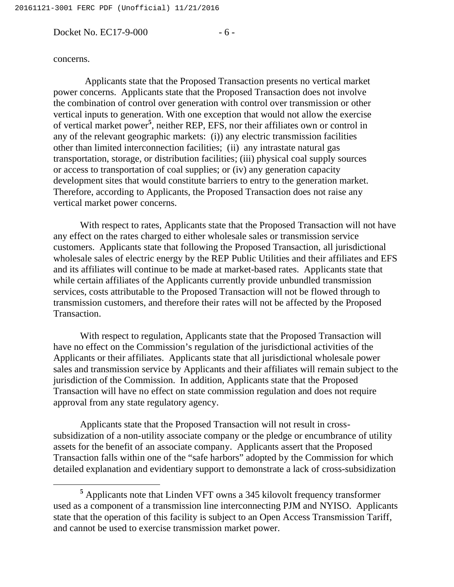Docket No. EC17-9-000 - 6 -

## concerns.

 Applicants state that the Proposed Transaction presents no vertical market power concerns. Applicants state that the Proposed Transaction does not involve the combination of control over generation with control over transmission or other vertical inputs to generation. With one exception that would not allow the exercise of vertical market power<sup>5</sup>, neither REP, EFS, nor their affiliates own or control in any of the relevant geographic markets: (i)) any electric transmission facilities other than limited interconnection facilities; (ii) any intrastate natural gas transportation, storage, or distribution facilities; (iii) physical coal supply sources or access to transportation of coal supplies; or (iv) any generation capacity development sites that would constitute barriers to entry to the generation market. Therefore, according to Applicants, the Proposed Transaction does not raise any vertical market power concerns.

With respect to rates, Applicants state that the Proposed Transaction will not have any effect on the rates charged to either wholesale sales or transmission service customers. Applicants state that following the Proposed Transaction, all jurisdictional wholesale sales of electric energy by the REP Public Utilities and their affiliates and EFS and its affiliates will continue to be made at market-based rates. Applicants state that while certain affiliates of the Applicants currently provide unbundled transmission services, costs attributable to the Proposed Transaction will not be flowed through to transmission customers, and therefore their rates will not be affected by the Proposed Transaction.

With respect to regulation, Applicants state that the Proposed Transaction will have no effect on the Commission's regulation of the jurisdictional activities of the Applicants or their affiliates. Applicants state that all jurisdictional wholesale power sales and transmission service by Applicants and their affiliates will remain subject to the jurisdiction of the Commission. In addition, Applicants state that the Proposed Transaction will have no effect on state commission regulation and does not require approval from any state regulatory agency.

Applicants state that the Proposed Transaction will not result in crosssubsidization of a non-utility associate company or the pledge or encumbrance of utility assets for the benefit of an associate company. Applicants assert that the Proposed Transaction falls within one of the "safe harbors" adopted by the Commission for which detailed explanation and evidentiary support to demonstrate a lack of cross-subsidization

**<sup>5</sup>** Applicants note that Linden VFT owns a 345 kilovolt frequency transformer used as a component of a transmission line interconnecting PJM and NYISO. Applicants state that the operation of this facility is subject to an Open Access Transmission Tariff, and cannot be used to exercise transmission market power.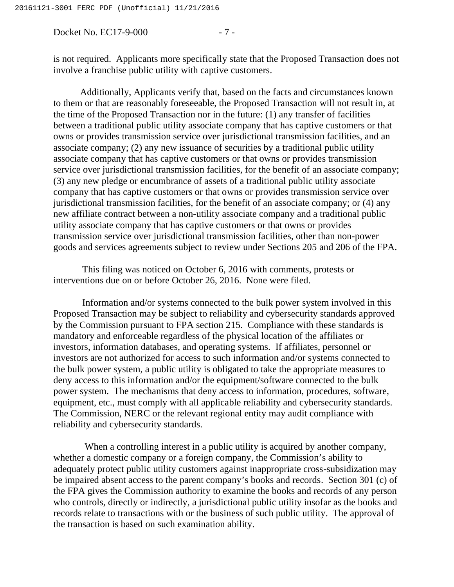Docket No. EC17-9-000 - 7 -

is not required. Applicants more specifically state that the Proposed Transaction does not involve a franchise public utility with captive customers.

Additionally, Applicants verify that, based on the facts and circumstances known to them or that are reasonably foreseeable, the Proposed Transaction will not result in, at the time of the Proposed Transaction nor in the future: (1) any transfer of facilities between a traditional public utility associate company that has captive customers or that owns or provides transmission service over jurisdictional transmission facilities, and an associate company; (2) any new issuance of securities by a traditional public utility associate company that has captive customers or that owns or provides transmission service over jurisdictional transmission facilities, for the benefit of an associate company; (3) any new pledge or encumbrance of assets of a traditional public utility associate company that has captive customers or that owns or provides transmission service over jurisdictional transmission facilities, for the benefit of an associate company; or (4) any new affiliate contract between a non-utility associate company and a traditional public utility associate company that has captive customers or that owns or provides transmission service over jurisdictional transmission facilities, other than non-power goods and services agreements subject to review under Sections 205 and 206 of the FPA.

This filing was noticed on October 6, 2016 with comments, protests or interventions due on or before October 26, 2016. None were filed.

Information and/or systems connected to the bulk power system involved in this Proposed Transaction may be subject to reliability and cybersecurity standards approved by the Commission pursuant to FPA section 215. Compliance with these standards is mandatory and enforceable regardless of the physical location of the affiliates or investors, information databases, and operating systems. If affiliates, personnel or investors are not authorized for access to such information and/or systems connected to the bulk power system, a public utility is obligated to take the appropriate measures to deny access to this information and/or the equipment/software connected to the bulk power system. The mechanisms that deny access to information, procedures, software, equipment, etc., must comply with all applicable reliability and cybersecurity standards. The Commission, NERC or the relevant regional entity may audit compliance with reliability and cybersecurity standards.

When a controlling interest in a public utility is acquired by another company, whether a domestic company or a foreign company, the Commission's ability to adequately protect public utility customers against inappropriate cross-subsidization may be impaired absent access to the parent company's books and records. Section 301 (c) of the FPA gives the Commission authority to examine the books and records of any person who controls, directly or indirectly, a jurisdictional public utility insofar as the books and records relate to transactions with or the business of such public utility. The approval of the transaction is based on such examination ability.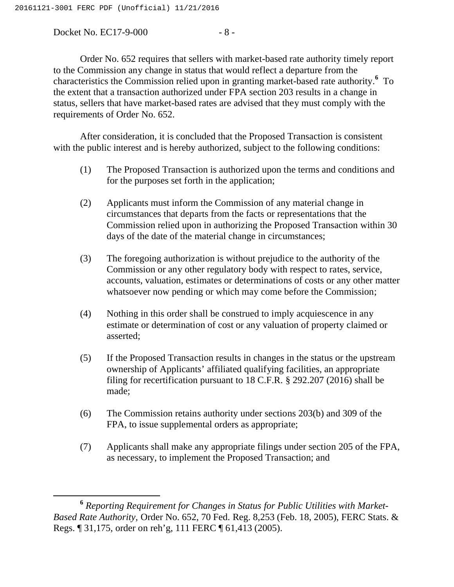Docket No. EC17-9-000 - 8 -

Order No. 652 requires that sellers with market-based rate authority timely report to the Commission any change in status that would reflect a departure from the characteristics the Commission relied upon in granting market-based rate authority.**<sup>6</sup>** To the extent that a transaction authorized under FPA section 203 results in a change in status, sellers that have market-based rates are advised that they must comply with the requirements of Order No. 652.

After consideration, it is concluded that the Proposed Transaction is consistent with the public interest and is hereby authorized, subject to the following conditions:

- (1) The Proposed Transaction is authorized upon the terms and conditions and for the purposes set forth in the application;
- (2) Applicants must inform the Commission of any material change in circumstances that departs from the facts or representations that the Commission relied upon in authorizing the Proposed Transaction within 30 days of the date of the material change in circumstances;
- (3) The foregoing authorization is without prejudice to the authority of the Commission or any other regulatory body with respect to rates, service, accounts, valuation, estimates or determinations of costs or any other matter whatsoever now pending or which may come before the Commission;
- (4) Nothing in this order shall be construed to imply acquiescence in any estimate or determination of cost or any valuation of property claimed or asserted;
- (5) If the Proposed Transaction results in changes in the status or the upstream ownership of Applicants' affiliated qualifying facilities, an appropriate filing for recertification pursuant to 18 C.F.R. § 292.207 (2016) shall be made;
- (6) The Commission retains authority under sections 203(b) and 309 of the FPA, to issue supplemental orders as appropriate;
- (7) Applicants shall make any appropriate filings under section 205 of the FPA, as necessary, to implement the Proposed Transaction; and

**<sup>6</sup>** *Reporting Requirement for Changes in Status for Public Utilities with Market-Based Rate Authority,* Order No. 652, 70 Fed. Reg. 8,253 (Feb. 18, 2005), FERC Stats. & Regs. ¶ 31,175, order on reh'g, 111 FERC ¶ 61,413 (2005).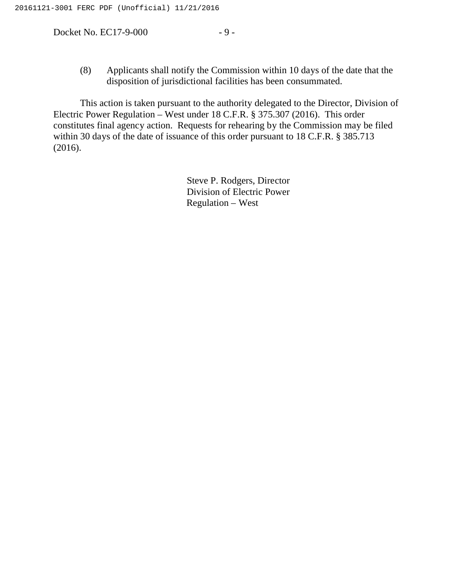Docket No. EC17-9-000 - 9 -

(8) Applicants shall notify the Commission within 10 days of the date that the disposition of jurisdictional facilities has been consummated.

This action is taken pursuant to the authority delegated to the Director, Division of Electric Power Regulation – West under 18 C.F.R. § 375.307 (2016). This order constitutes final agency action. Requests for rehearing by the Commission may be filed within 30 days of the date of issuance of this order pursuant to 18 C.F.R. § 385.713 (2016).

> Steve P. Rodgers, Director Division of Electric Power Regulation – West